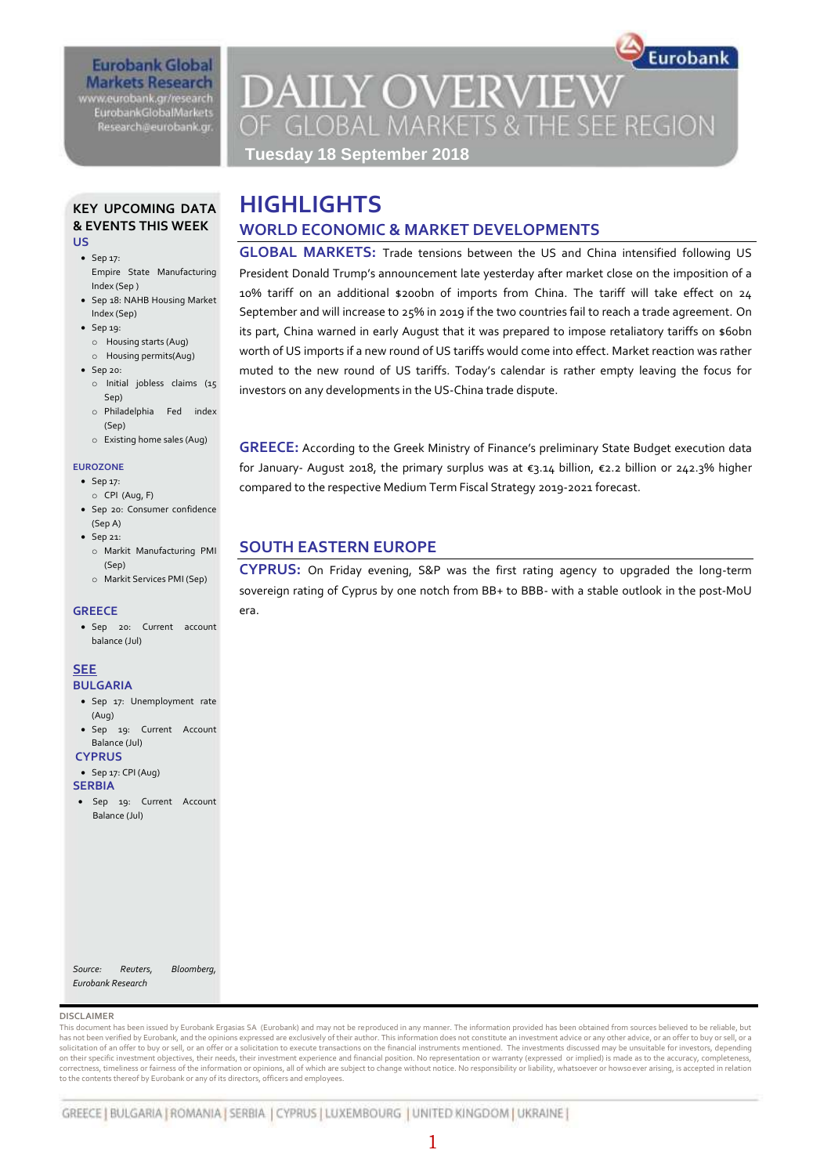www.eurobank.gr/research **EurobankGlobalMarkets** Research@eurobank.gr

# **DAILY OVERVIEW** OF GLOBAL MARKETS & THE SEE REGION

Eurobank

**GLOBAL MARKETS:** Trade tensions between the US and China intensified following US President Donald Trump's announcement late yesterday after market close on the imposition of a 10% tariff on an additional \$200bn of imports from China. The tariff will take effect on 24 September and will increase to 25% in 2019 if the two countries fail to reach a trade agreement. On its part, China warned in early August that it was prepared to impose retaliatory tariffs on \$60bn worth of US imports if a new round of US tariffs would come into effect. Market reaction was rather muted to the new round of US tariffs. Today's calendar is rather empty leaving the focus for

**GREECE:** According to the Greek Ministry of Finance's preliminary State Budget execution data for January- August 2018, the primary surplus was at  $\varepsilon$ 3.14 billion,  $\varepsilon$ 2.2 billion or 242.3% higher

**CYPRUS:** On Friday evening, S&P was the first rating agency to upgraded the long-term sovereign rating of Cyprus by one notch from BB+ to BBB- with a stable outlook in the post-MoU

**Tuesday 18 September 2018**

**WORLD ECONOMIC & MARKET DEVELOPMENTS**

investors on any developments in the US-China trade dispute.

**SOUTH EASTERN EUROPE**

era.

compared to the respective Medium Term Fiscal Strategy 2019-2021 forecast.

**HIGHLIGHTS**

#### **KEY UPCOMING DATA & EVENTS THIS WEEK US**

• Sep 17: Empire State Manufacturing Index (Sep )

- Sep 18: NAHB Housing Market Index (Sep)
- $\bullet$  Sep 19:
	- o Housing starts (Aug)
	- o Housing permits(Aug)
- $\bullet$  Sep 20:
	- o Initial jobless claims (15 Sep)
	- o Philadelphia Fed index (Sep)
	- o Existing home sales (Aug)

#### **EUROZONE**

- Sep 17:
- o CPI (Aug, F) Sep 20: Consumer confidence (Sep A)
- $\bullet$  Sep 21: o Markit Manufacturing PMI
	- (Sep) o Markit Services PMI (Sep)

#### **GREECE**

 Sep 20: Current account balance (Jul)

#### **SEE**

- **BULGARIA**
- Sep 17: Unemployment rate (Aug) Sep 19: Current Account
- Balance (Jul) **CYPRUS**
- 
- $\bullet$  Sep 17: CPI (Aug) **SERBIA**
- Sep 19: Current Account Balance (Jul)

*Source: Reuters, Bloomberg, Eurobank Research*

#### **DISCLAIMER**

This document has been issued by Eurobank Ergasias SA (Eurobank) and may not be reproduced in any manner. The information provided has been obtained from sources believed to be reliable, but has not been verified by Eurobank, and the opinions expressed are exclusively of their author. This information does not constitute an investment advice or any other advice, or an offer to buy or sell, or a solicitation of an offer to buy or sell, or an offer or a solicitation to execute transactions on the financial instruments mentioned. The investments discussed may be unsuitable for investors, depending<br>on their specific correctness, timeliness or fairness of the information or opinions, all of which are subject to change without notice. No responsibility or liability, whatsoever or howsoever arising, is accepted in relation to the contents thereof by Eurobank or any of its directors, officers and employees.

### 1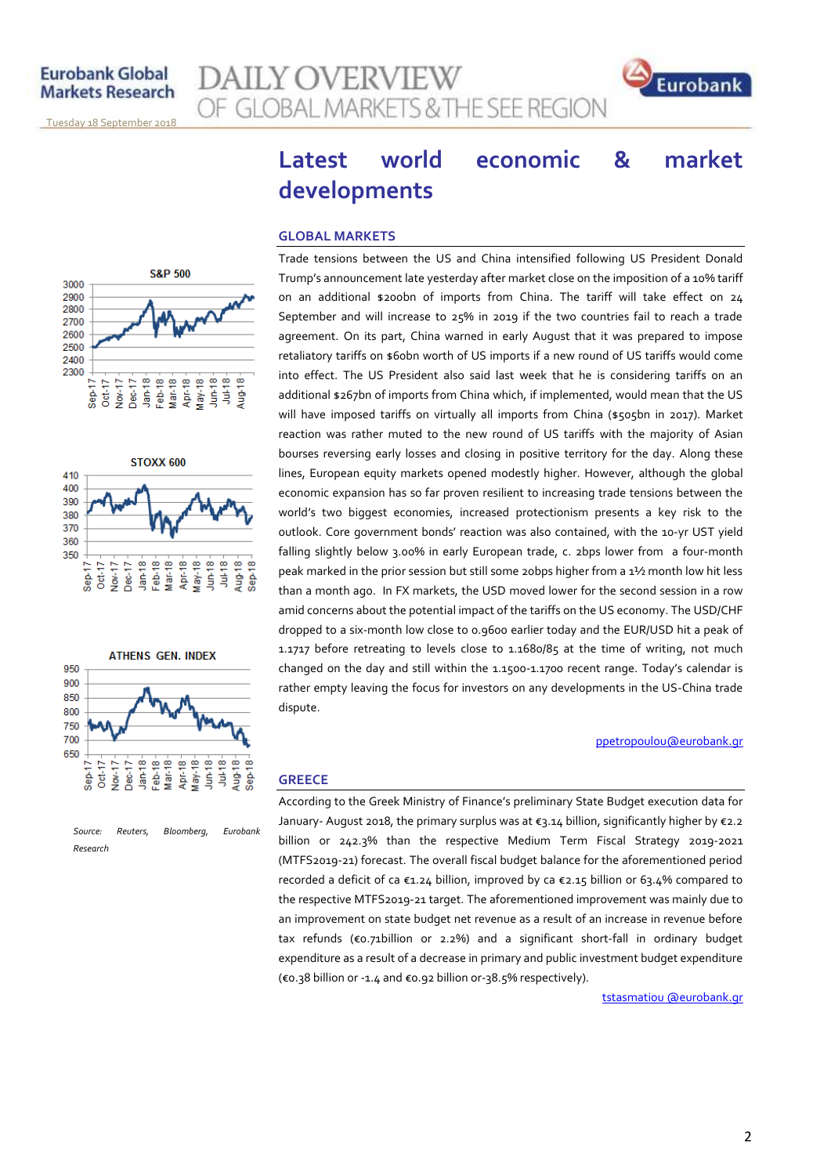**S&P 500** 

 $Jan-18$ Feb-18<br>Mar-18 Apr-18<br>May-18

**STOXX 600** 

 $Jan-18$  $Feb-18$  $Mar18$ Apr-18  $May-18$  $J$ un-18  $JuH18$ Aug-18  $Step 18$ 

Dec-17

 $Oct-17$ Nov-17 Dec-17

 $00t - 17$  $Now-17$ 

Sep-17

 $Step 17$ 

 $J$ un-18 -<br> $J$ ul-18 -

Aug-18-



#### **GLOBAL MARKETS**

**AILY OVERVIEW** 

OF GLOBAL MARKETS & THE SEE REGION

Trade tensions between the US and China intensified following US President Donald Trump's announcement late yesterday after market close on the imposition of a 10% tariff on an additional \$200bn of imports from China. The tariff will take effect on 24 September and will increase to 25% in 2019 if the two countries fail to reach a trade agreement. On its part, China warned in early August that it was prepared to impose retaliatory tariffs on \$60bn worth of US imports if a new round of US tariffs would come into effect. The US President also said last week that he is considering tariffs on an additional \$267bn of imports from China which, if implemented, would mean that the US will have imposed tariffs on virtually all imports from China (\$505bn in 2017). Market reaction was rather muted to the new round of US tariffs with the majority of Asian bourses reversing early losses and closing in positive territory for the day. Along these lines, European equity markets opened modestly higher. However, although the global economic expansion has so far proven resilient to increasing trade tensions between the world's two biggest economies, increased protectionism presents a key risk to the outlook. Core government bonds' reaction was also contained, with the 10-yr UST yield falling slightly below 3.00% in early European trade, c. 2bps lower from a four-month peak marked in the prior session but still some 20bps higher from a 1½ month low hit less than a month ago. In FX markets, the USD moved lower for the second session in a row amid concerns about the potential impact of the tariffs on the US economy. The USD/CHF dropped to a six-month low close to 0.9600 earlier today and the EUR/USD hit a peak of 1.1717 before retreating to levels close to 1.1680/85 at the time of writing, not much changed on the day and still within the 1.1500-1.1700 recent range. Today's calendar is rather empty leaving the focus for investors on any developments in the US-China trade dispute.

#### ppetropoulou@eurobank.gr

Eurobank

#### **GREECE**

According to the Greek Ministry of Finance's preliminary State Budget execution data for January- August 2018, the primary surplus was at €3.14 billion, significantly higher by €2.2 billion or 242.3% than the respective Medium Term Fiscal Strategy 2019-2021 (MTFS2019-21) forecast. The overall fiscal budget balance for the aforementioned period recorded a deficit of ca €1.24 billion, improved by ca €2.15 billion or 63.4% compared to the respective MTFS2019-21 target. The aforementioned improvement was mainly due to an improvement on state budget net revenue as a result of an increase in revenue before tax refunds (€0.71billion or 2.2%) and a significant short-fall in ordinary budget expenditure as a result of a decrease in primary and public investment budget expenditure (€0.38 billion or -1.4 and €0.92 billion or-38.5% respectively).

tstasmatiou @eurobank.gr



*Source: Reuters, Bloomberg, Eurobank Research*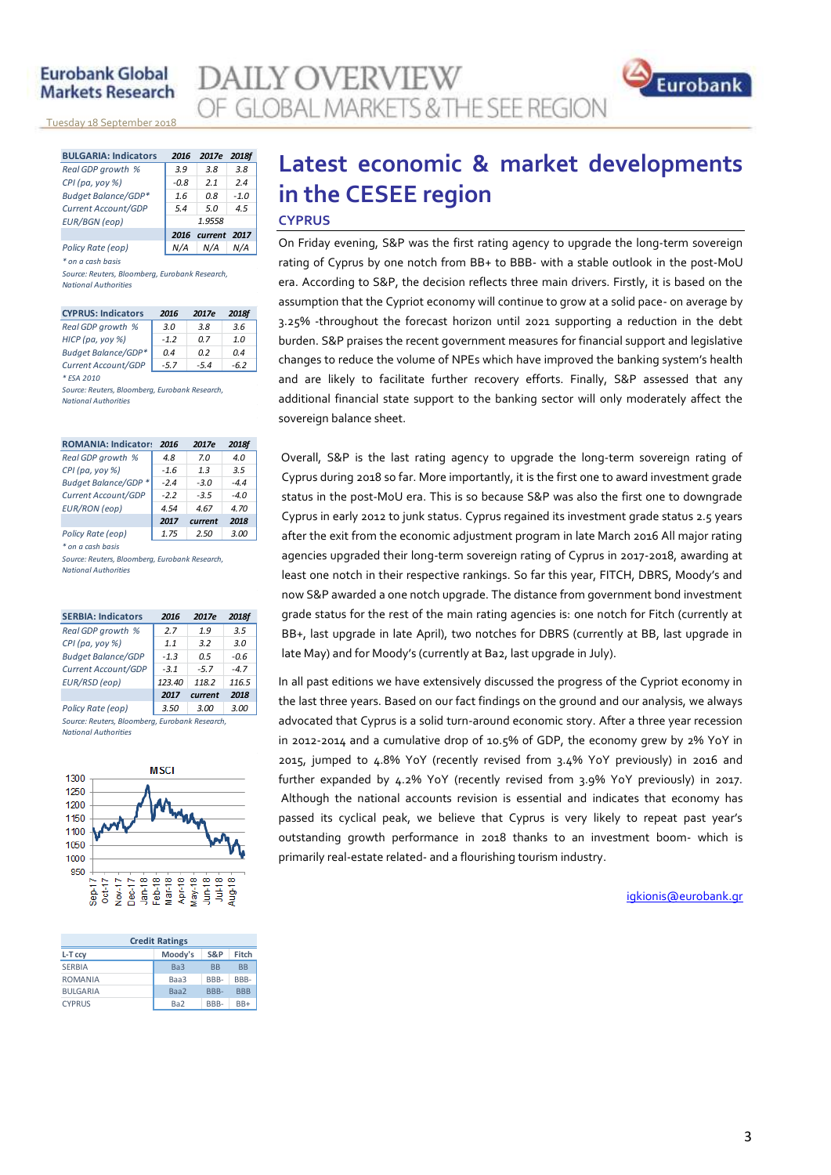<u>Tuesday 18 September 2018</u>

| <b>BULGARIA: Indicators</b> | 2016   | 2017e        | 2018f  |
|-----------------------------|--------|--------------|--------|
| Real GDP growth %           | 3.9    | 3.8          | 3.8    |
| CPI (pa, yoy %)             | $-0.8$ | 21           | 24     |
| <b>Budget Balance/GDP*</b>  | 1.6    | n 8          | $-1.0$ |
| Current Account/GDP         | 5.4    | 50           | 4.5    |
| <b>EUR/BGN</b> (eop)        | 1.9558 |              |        |
|                             | 2016   | current 2017 |        |
| Policy Rate (eop)           |        | N/A          |        |

*\* on a cash basis*

*Source: Reuters, Bloomberg, Eurobank Research, National Authorities*

| <b>CYPRUS: Indicators</b>  | 2016   | 2017e  | 2018f |
|----------------------------|--------|--------|-------|
| Real GDP growth %          | 3.0    | 3.8    | 3.6   |
| HICP (pa, yoy %)           | $-1.2$ | 0 Z    | 1.0   |
| <b>Budget Balance/GDP*</b> | 0.4    | 02     | 04    |
| Current Account/GDP        | $-5.7$ | $-5.4$ | -62   |
| * FSA 2010                 |        |        |       |

*Source: Reuters, Bloomberg, Eurobank Research, National Authorities*

| <b>ROMANIA: Indicators</b>  | 2016   | 2017e   | 2018f |
|-----------------------------|--------|---------|-------|
| Real GDP growth %           | 4.8    | 7 Q     | 4.0   |
| CPI (pa, yoy %)             | $-1.6$ | 13      | 3.5   |
| <b>Budget Balance/GDP *</b> | $-2.4$ | $-3.0$  | $-44$ |
| Current Account/GDP         | $-22$  | $-3.5$  | $-40$ |
| <b>EUR/RON</b> (eop)        | 4.54   | 4.67    | 4.70  |
|                             | 2017   | current | 2018  |
| Policy Rate (eop)           | 1.75   | 2.50    | 3.00  |

*\* on a cash basis*

*Source: Reuters, Bloomberg, Eurobank Research, National Authorities*

| <b>SERBIA: Indicators</b>                      | 2016   | 2017e   | 2018f  |
|------------------------------------------------|--------|---------|--------|
| Real GDP growth %                              | 2.7    | 1.9     | 3.5    |
| CPI (pa, yoy %)                                | 1.1    | 3.2     | 3.0    |
| <b>Budget Balance/GDP</b>                      | $-1.3$ | 0.5     | -0.6   |
| Current Account/GDP                            | $-3.1$ | $-5.7$  | $-4.7$ |
| EUR/RSD (eop)                                  | 123.40 | 118.2   | 116.5  |
|                                                | 2017   | current | 2018   |
| Policy Rate (eop)                              | 3.50   | 3.00    | 3.00   |
| Source: Reuters, Bloomberg, Furobank Research. |        |         |        |

*National Authorities*



| <b>Credit Ratings</b> |                 |           |            |
|-----------------------|-----------------|-----------|------------|
| L-T ccy               | Moody's         | S&P       | Fitch      |
| <b>SERBIA</b>         | Ba <sub>3</sub> | <b>BB</b> | <b>BB</b>  |
| <b>ROMANIA</b>        | Baa3            | BBB-      | BBB-       |
| <b>BULGARIA</b>       | Baa2            | BBB-      | <b>BBB</b> |
| <b>CYPRUS</b>         | Ba <sub>2</sub> | BBB-      | $BB+$      |

# **Latest economic & market developments in the CESEE region**

#### **CYPRUS**

**AILY OVERVIEW** 

OF GLOBAL MARKETS & THE SEE REGION

On Friday evening, S&P was the first rating agency to upgrade the long-term sovereign rating of Cyprus by one notch from BB+ to BBB- with a stable outlook in the post-MoU era. According to S&P, the decision reflects three main drivers. Firstly, it is based on the assumption that the Cypriot economy will continue to grow at a solid pace- on average by 3.25% -throughout the forecast horizon until 2021 supporting a reduction in the debt burden. S&P praises the recent government measures for financial support and legislative changes to reduce the volume of NPEs which have improved the banking system's health and are likely to facilitate further recovery efforts. Finally, S&P assessed that any additional financial state support to the banking sector will only moderately affect the sovereign balance sheet.

Overall, S&P is the last rating agency to upgrade the long-term sovereign rating of Cyprus during 2018 so far. More importantly, it is the first one to award investment grade status in the post-MoU era. This is so because S&P was also the first one to downgrade Cyprus in early 2012 to junk status. Cyprus regained its investment grade status 2.5 years after the exit from the economic adjustment program in late March 2016 All major rating agencies upgraded their long-term sovereign rating of Cyprus in 2017-2018, awarding at least one notch in their respective rankings. So far this year, FITCH, DBRS, Moody's and now S&P awarded a one notch upgrade. The distance from government bond investment grade status for the rest of the main rating agencies is: one notch for Fitch (currently at BB+, last upgrade in late April), two notches for DBRS (currently at BB, last upgrade in late May) and for Moody's (currently at Ba2, last upgrade in July).

In all past editions we have extensively discussed the progress of the Cypriot economy in the last three years. Based on our fact findings on the ground and our analysis, we always advocated that Cyprus is a solid turn-around economic story. After a three year recession in 2012-2014 and a cumulative drop of 10.5% of GDP, the economy grew by 2% YoY in 2015, jumped to 4.8% YoY (recently revised from 3.4% YoY previously) in 2016 and further expanded by 4.2% YoY (recently revised from 3.9% YoY previously) in 2017. Although the national accounts revision is essential and indicates that economy has passed its cyclical peak, we believe that Cyprus is very likely to repeat past year's outstanding growth performance in 2018 thanks to an investment boom- which is primarily real-estate related- and a flourishing tourism industry.

igkionis@eurobank.gr

Eurobank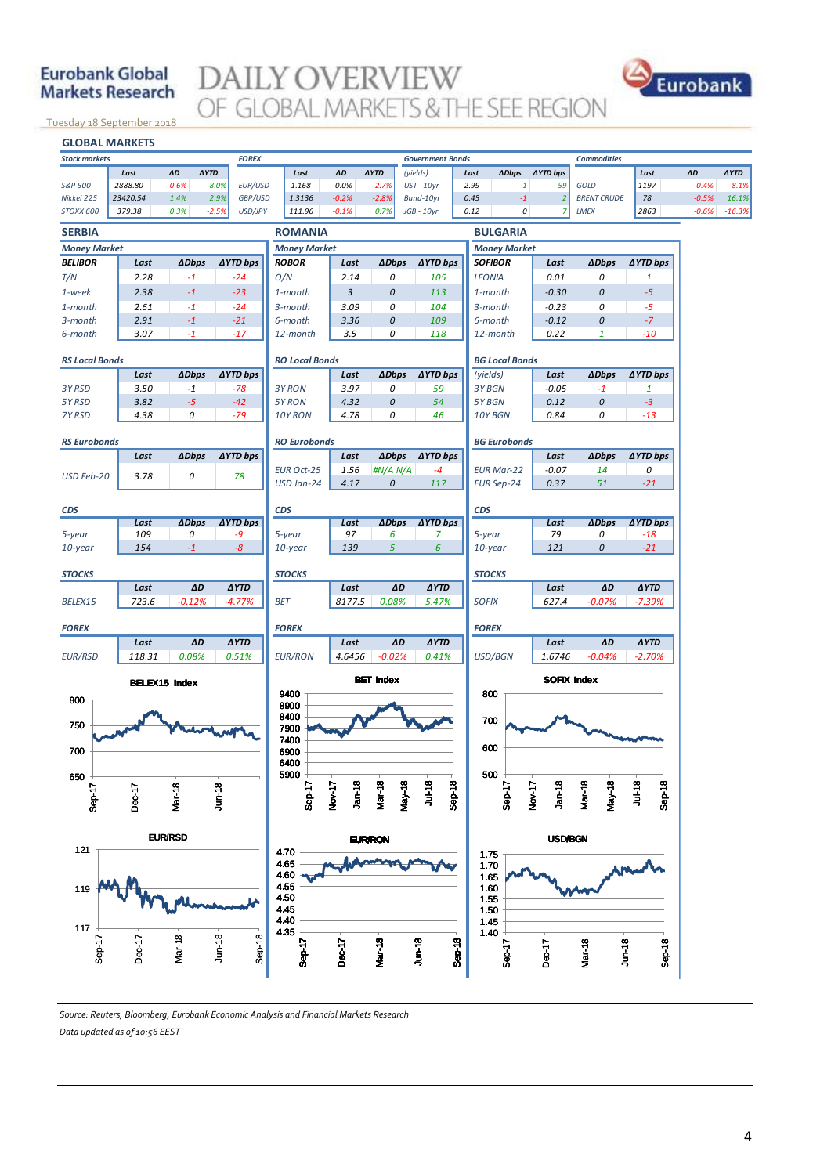## **DAILY OVERVIEW GLOBAL MARKETS & THE SEE REGION**



<u>Tuesday 18 September 2018</u>



#### *Source: Reuters, Bloomberg, Eurobank Economic Analysis and Financial Markets Research Data updated as of 10:56 EEST*